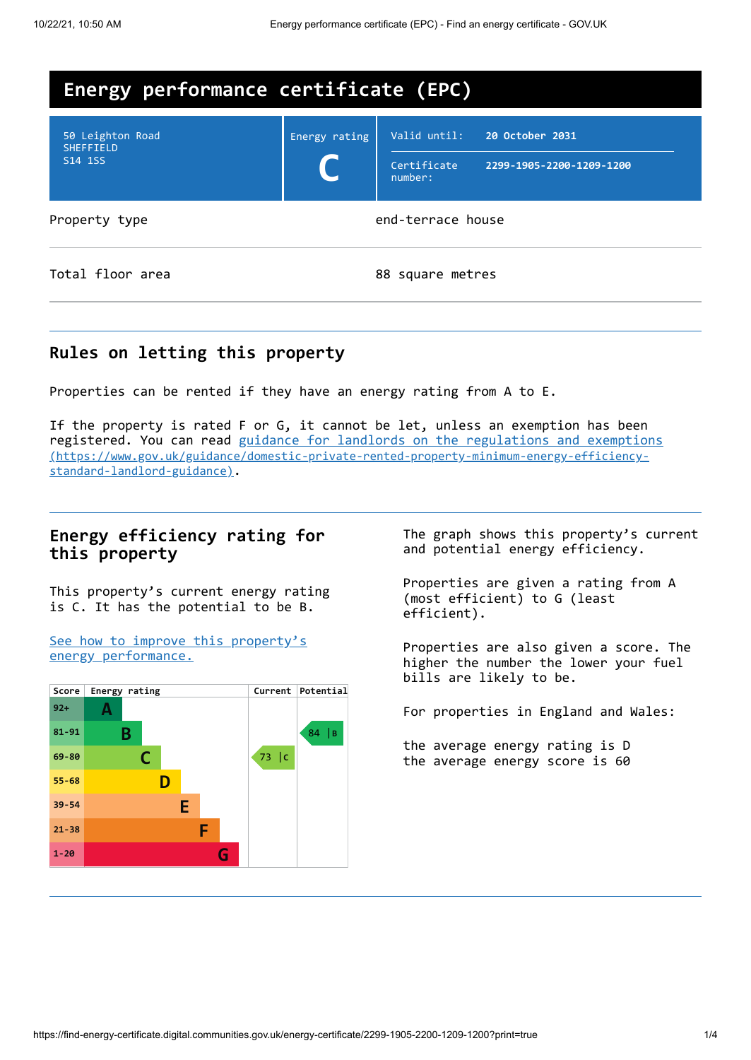

### **Rules on letting this property**

Properties can be rented if they have an energy rating from A to E.

If the property is rated F or G, it cannot be let, unless an exemption has been registered. You can read guidance for landlords on the regulations and exemptions [\(https://www.gov.uk/guidance/domestic-private-rented-property-minimum-energy-efficiency](https://www.gov.uk/guidance/domestic-private-rented-property-minimum-energy-efficiency-standard-landlord-guidance)standard-landlord-guidance).

### **Energy efficiency rating for this property**

This property's current energy rating is C. It has the potential to be B.

See how to improve this property's energy [performance.](#page-2-0)



The graph shows this property's current and potential energy efficiency.

Properties are given a rating from A (most efficient) to G (least efficient).

Properties are also given a score. The higher the number the lower your fuel bills are likely to be.

For properties in England and Wales:

the average energy rating is D the average energy score is 60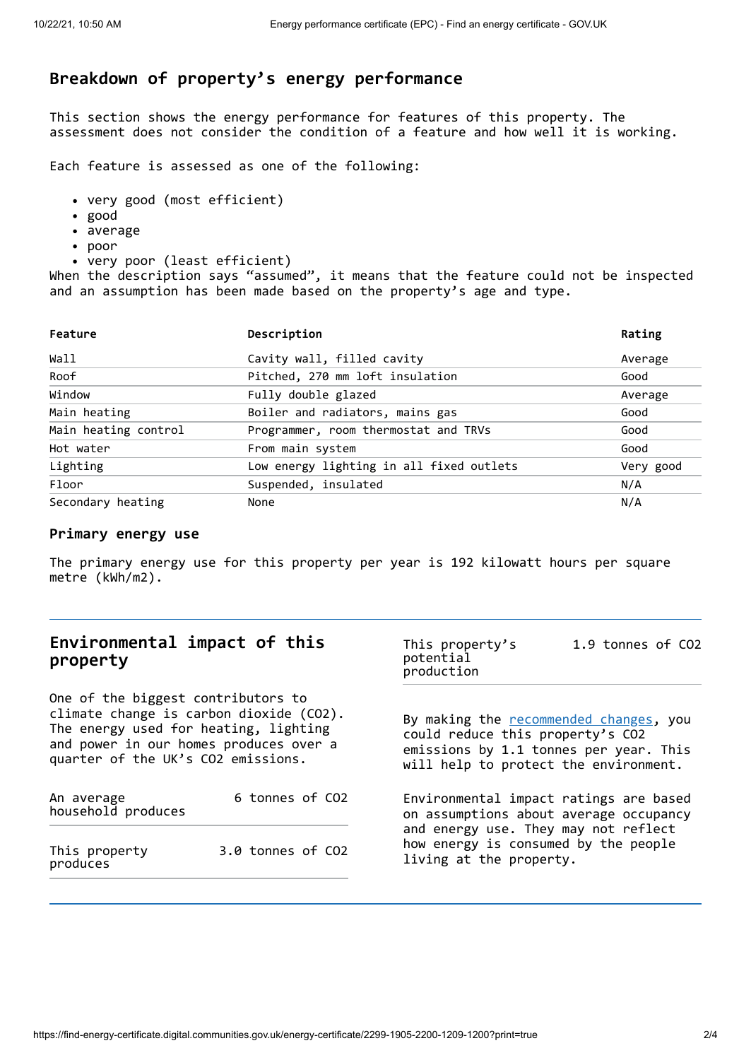# **Breakdown of property's energy performance**

This section shows the energy performance for features of this property. The assessment does not consider the condition of a feature and how well it is working.

Each feature is assessed as one of the following:

- very good (most efficient)
- good
- average
- poor
- very poor (least efficient)

When the description says "assumed", it means that the feature could not be inspected and an assumption has been made based on the property's age and type.

| Feature              | Description                              | Rating    |  |
|----------------------|------------------------------------------|-----------|--|
| Wall                 | Cavity wall, filled cavity               | Average   |  |
| Roof                 | Pitched, 270 mm loft insulation          | Good      |  |
| Window               | Fully double glazed                      | Average   |  |
| Main heating         | Boiler and radiators, mains gas          | Good      |  |
| Main heating control | Programmer, room thermostat and TRVs     | Good      |  |
| Hot water            | From main system                         | Good      |  |
| Lighting             | Low energy lighting in all fixed outlets | Very good |  |
| Floor                | Suspended, insulated                     | N/A       |  |
| Secondary heating    | None                                     | N/A       |  |

#### **Primary energy use**

The primary energy use for this property per year is 192 kilowatt hours per square metre (kWh/m2).

| Environmental impact of this<br>property                                                                                                                                                               |                   | This property's<br>potential<br>production                                                                                                                           | 1.9 tonnes of CO2                                                                |  |
|--------------------------------------------------------------------------------------------------------------------------------------------------------------------------------------------------------|-------------------|----------------------------------------------------------------------------------------------------------------------------------------------------------------------|----------------------------------------------------------------------------------|--|
| One of the biggest contributors to<br>climate change is carbon dioxide (CO2).<br>The energy used for heating, lighting<br>and power in our homes produces over a<br>quarter of the UK's CO2 emissions. |                   | By making the <b>recommended</b> changes, you<br>could reduce this property's CO2<br>emissions by 1.1 tonnes per year. This<br>will help to protect the environment. |                                                                                  |  |
| An average<br>household produces                                                                                                                                                                       | 6 tonnes of CO2   |                                                                                                                                                                      | Environmental impact ratings are based<br>on assumptions about average occupancy |  |
| This property<br>produces                                                                                                                                                                              | 3.0 tonnes of CO2 | and energy use. They may not reflect<br>how energy is consumed by the people<br>living at the property.                                                              |                                                                                  |  |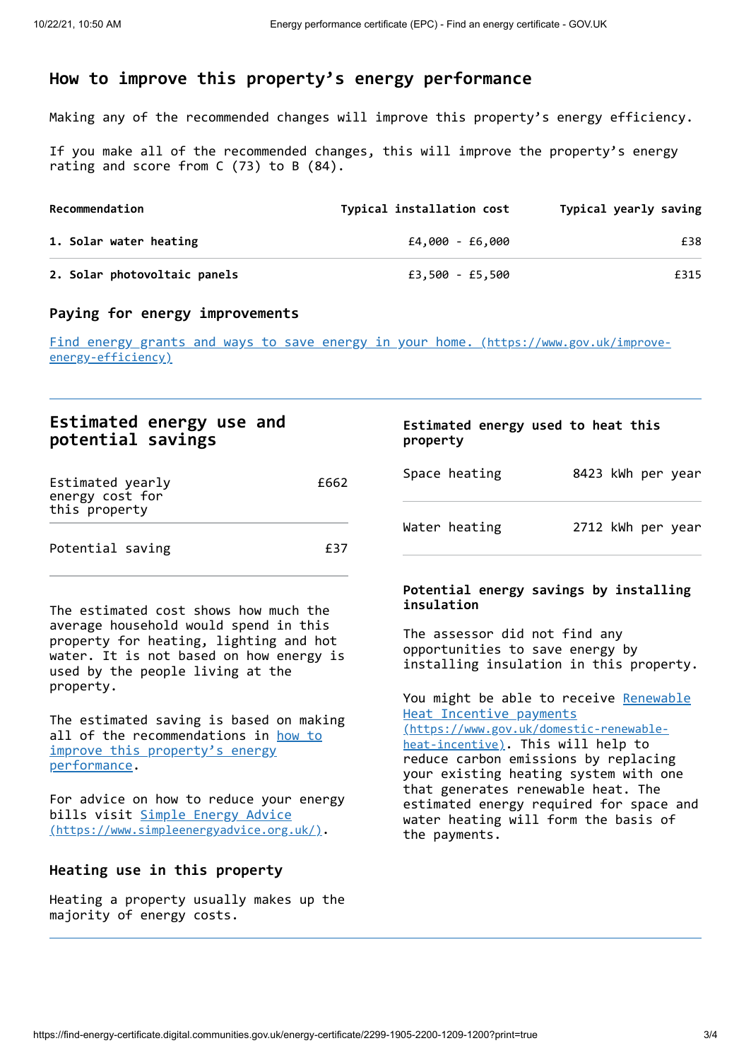## <span id="page-2-0"></span>**How to improve this property's energy performance**

Making any of the recommended changes will improve this property's energy efficiency.

If you make all of the recommended changes, this will improve the property's energy rating and score from C (73) to B (84).

| Recommendation               | Typical installation cost | Typical yearly saving |
|------------------------------|---------------------------|-----------------------|
| 1. Solar water heating       | £4,000 - £6,000           | £38                   |
| 2. Solar photovoltaic panels | £3,500 - £5,500           | £315                  |

### **Paying for energy improvements**

Find energy grants and ways to save energy in your home. [\(https://www.gov.uk/improve](https://www.gov.uk/improve-energy-efficiency)energy-efficiency)

### **Estimated energy use and potential savings**

| Estimated yearly<br>energy cost for<br>this property | £662 |
|------------------------------------------------------|------|
| Potential saving                                     | £37  |

The estimated cost shows how much the average household would spend in this property for heating, lighting and hot water. It is not based on how energy is used by the people living at the property.

The estimated saving is based on making all of the [recommendations](#page-2-0) in how to improve this property's energy performance.

For advice on how to reduce your energy bills visit Simple Energy Advice [\(https://www.simpleenergyadvice.org.uk/\)](https://www.simpleenergyadvice.org.uk/).

#### **Heating use in this property**

Heating a property usually makes up the majority of energy costs.

#### **Estimated energy used to heat this property**

| Space heating |  | 8423 kWh per year |
|---------------|--|-------------------|
| Water heating |  | 2712 kWh per year |

### **Potential energy savings by installing insulation**

The assessor did not find any opportunities to save energy by installing insulation in this property.

You might be able to receive Renewable Heat Incentive payments [\(https://www.gov.uk/domestic-renewable](https://www.gov.uk/domestic-renewable-heat-incentive)heat-incentive). This will help to reduce carbon emissions by replacing your existing heating system with one that generates renewable heat. The estimated energy required for space and water heating will form the basis of the payments.